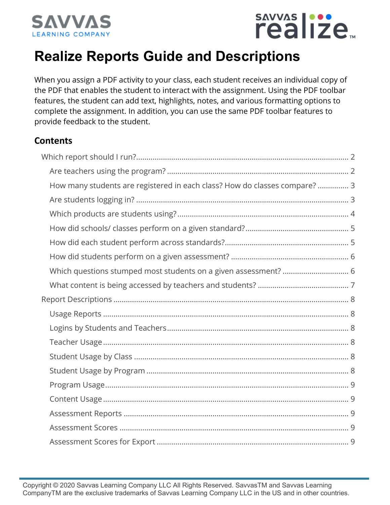



## **Realize Reports Guide and Descriptions**

When you assign a PDF activity to your class, each student receives an individual copy of the PDF that enables the student to interact with the assignment. Using the PDF toolbar features, the student can add text, highlights, notes, and various formatting options to complete the assignment. In addition, you can use the same PDF toolbar features to provide feedback to the student.

#### **Contents**

| How many students are registered in each class? How do classes compare?  3 |  |
|----------------------------------------------------------------------------|--|
|                                                                            |  |
|                                                                            |  |
|                                                                            |  |
|                                                                            |  |
|                                                                            |  |
| Which questions stumped most students on a given assessment?  6            |  |
|                                                                            |  |
|                                                                            |  |
|                                                                            |  |
|                                                                            |  |
|                                                                            |  |
|                                                                            |  |
|                                                                            |  |
|                                                                            |  |
|                                                                            |  |
|                                                                            |  |
|                                                                            |  |
|                                                                            |  |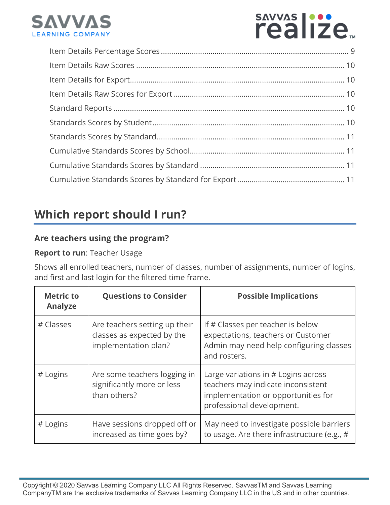

# sAVVAS |::

## **Which report should I run?**

#### **Are teachers using the program?**

#### **Report to run**: Teacher Usage

Shows all enrolled teachers, number of classes, number of assignments, number of logins, and first and last login for the filtered time frame.

| <b>Metric to</b><br><b>Analyze</b> | <b>Questions to Consider</b>                                                        | <b>Possible Implications</b>                                                                                                                  |
|------------------------------------|-------------------------------------------------------------------------------------|-----------------------------------------------------------------------------------------------------------------------------------------------|
| # Classes                          | Are teachers setting up their<br>classes as expected by the<br>implementation plan? | If # Classes per teacher is below<br>expectations, teachers or Customer<br>Admin may need help configuring classes<br>and rosters.            |
| # Logins                           | Are some teachers logging in<br>significantly more or less<br>than others?          | Large variations in # Logins across<br>teachers may indicate inconsistent<br>implementation or opportunities for<br>professional development. |
| # Logins                           | Have sessions dropped off or<br>increased as time goes by?                          | May need to investigate possible barriers<br>to usage. Are there infrastructure (e.g., #                                                      |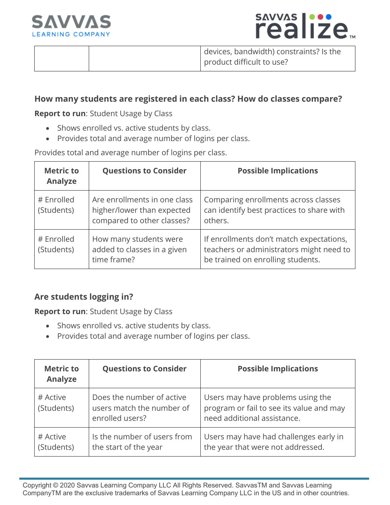



devices, bandwidth) constraints? Is the product difficult to use?

#### **How many students are registered in each class? How do classes compare?**

**Report to run**: Student Usage by Class

- Shows enrolled vs. active students by class.
- Provides total and average number of logins per class.

Provides total and average number of logins per class.

| <b>Metric to</b><br>Analyze | <b>Questions to Consider</b>                                                             | <b>Possible Implications</b>                                                                                              |
|-----------------------------|------------------------------------------------------------------------------------------|---------------------------------------------------------------------------------------------------------------------------|
| # Enrolled<br>(Students)    | Are enrollments in one class<br>higher/lower than expected<br>compared to other classes? | Comparing enrollments across classes<br>can identify best practices to share with<br>others.                              |
| # Enrolled<br>(Students)    | How many students were<br>added to classes in a given<br>time frame?                     | If enrollments don't match expectations,<br>teachers or administrators might need to<br>be trained on enrolling students. |

#### **Are students logging in?**

**Report to run**: Student Usage by Class

- Shows enrolled vs. active students by class.
- Provides total and average number of logins per class.

| <b>Metric to</b><br>Analyze | <b>Questions to Consider</b>                                              | <b>Possible Implications</b>                                                                                 |
|-----------------------------|---------------------------------------------------------------------------|--------------------------------------------------------------------------------------------------------------|
| # Active<br>(Students)      | Does the number of active<br>users match the number of<br>enrolled users? | Users may have problems using the<br>program or fail to see its value and may<br>need additional assistance. |
| # Active<br>(Students)      | Is the number of users from<br>the start of the year                      | Users may have had challenges early in<br>the year that were not addressed.                                  |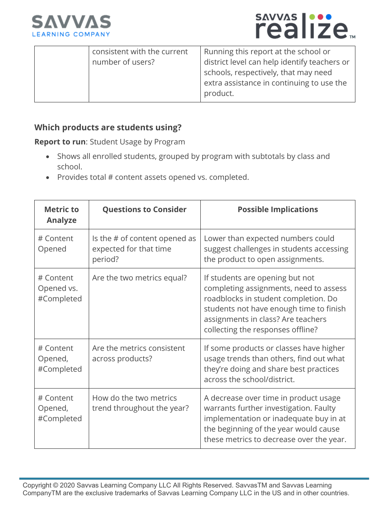



| consistent with the current | Running this report at the school or         |
|-----------------------------|----------------------------------------------|
| number of users?            | district level can help identify teachers or |
|                             | schools, respectively, that may need         |
|                             | extra assistance in continuing to use the    |
|                             | product.                                     |

#### **Which products are students using?**

**Report to run**: Student Usage by Program

- Shows all enrolled students, grouped by program with subtotals by class and school.
- Provides total # content assets opened vs. completed.

| <b>Metric to</b><br><b>Analyze</b>    | <b>Questions to Consider</b>                                       | <b>Possible Implications</b>                                                                                                                                                                                                            |
|---------------------------------------|--------------------------------------------------------------------|-----------------------------------------------------------------------------------------------------------------------------------------------------------------------------------------------------------------------------------------|
| # Content<br>Opened                   | Is the # of content opened as<br>expected for that time<br>period? | Lower than expected numbers could<br>suggest challenges in students accessing<br>the product to open assignments.                                                                                                                       |
| # Content<br>Opened vs.<br>#Completed | Are the two metrics equal?                                         | If students are opening but not<br>completing assignments, need to assess<br>roadblocks in student completion. Do<br>students not have enough time to finish<br>assignments in class? Are teachers<br>collecting the responses offline? |
| # Content<br>Opened,<br>#Completed    | Are the metrics consistent<br>across products?                     | If some products or classes have higher<br>usage trends than others, find out what<br>they're doing and share best practices<br>across the school/district.                                                                             |
| # Content<br>Opened,<br>#Completed    | How do the two metrics<br>trend throughout the year?               | A decrease over time in product usage<br>warrants further investigation. Faulty<br>implementation or inadequate buy in at<br>the beginning of the year would cause<br>these metrics to decrease over the year.                          |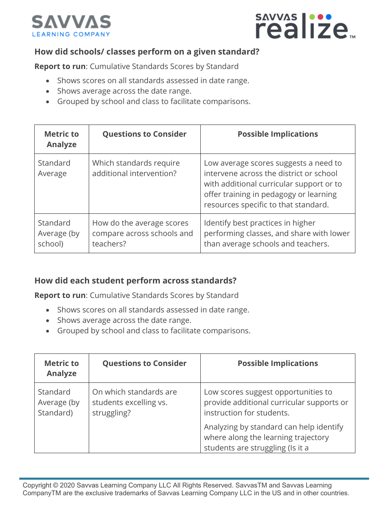



#### **How did schools/ classes perform on a given standard?**

**Report to run**: Cumulative Standards Scores by Standard

- Shows scores on all standards assessed in date range.
- Shows average across the date range.
- Grouped by school and class to facilitate comparisons.

| <b>Metric to</b><br><b>Analyze</b> | <b>Questions to Consider</b>                                         | <b>Possible Implications</b>                                                                                                                                                                                   |
|------------------------------------|----------------------------------------------------------------------|----------------------------------------------------------------------------------------------------------------------------------------------------------------------------------------------------------------|
| Standard<br>Average                | Which standards require<br>additional intervention?                  | Low average scores suggests a need to<br>intervene across the district or school<br>with additional curricular support or to<br>offer training in pedagogy or learning<br>resources specific to that standard. |
| Standard<br>Average (by<br>school) | How do the average scores<br>compare across schools and<br>teachers? | Identify best practices in higher<br>performing classes, and share with lower<br>than average schools and teachers.                                                                                            |

#### **How did each student perform across standards?**

**Report to run**: Cumulative Standards Scores by Standard

- Shows scores on all standards assessed in date range.
- Shows average across the date range.
- Grouped by school and class to facilitate comparisons.

| <b>Metric to</b><br><b>Analyze</b>   | <b>Questions to Consider</b>                                    | <b>Possible Implications</b>                                                                                       |
|--------------------------------------|-----------------------------------------------------------------|--------------------------------------------------------------------------------------------------------------------|
| Standard<br>Average (by<br>Standard) | On which standards are<br>students excelling vs.<br>struggling? | Low scores suggest opportunities to<br>provide additional curricular supports or<br>instruction for students.      |
|                                      |                                                                 | Analyzing by standard can help identify<br>where along the learning trajectory<br>students are struggling (Is it a |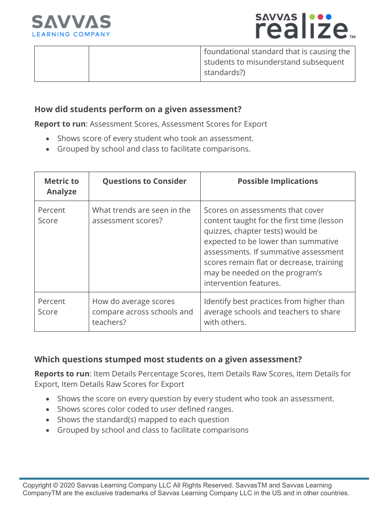



foundational standard that is causing the students to misunderstand subsequent standards?)

#### **How did students perform on a given assessment?**

**Report to run**: Assessment Scores, Assessment Scores for Export

- Shows score of every student who took an assessment.
- Grouped by school and class to facilitate comparisons.

| <b>Metric to</b><br><b>Analyze</b> | <b>Questions to Consider</b>                                     | <b>Possible Implications</b>                                                                                                                                                                                                                                                                             |
|------------------------------------|------------------------------------------------------------------|----------------------------------------------------------------------------------------------------------------------------------------------------------------------------------------------------------------------------------------------------------------------------------------------------------|
| Percent<br>Score                   | What trends are seen in the<br>assessment scores?                | Scores on assessments that cover<br>content taught for the first time (lesson<br>quizzes, chapter tests) would be<br>expected to be lower than summative<br>assessments. If summative assessment<br>scores remain flat or decrease, training<br>may be needed on the program's<br>intervention features. |
| Percent<br>Score                   | How do average scores<br>compare across schools and<br>teachers? | Identify best practices from higher than<br>average schools and teachers to share<br>with others.                                                                                                                                                                                                        |

#### **Which questions stumped most students on a given assessment?**

**Reports to run**: Item Details Percentage Scores, Item Details Raw Scores, Item Details for Export, Item Details Raw Scores for Export

- Shows the score on every question by every student who took an assessment.
- Shows scores color coded to user defined ranges.
- Shows the standard(s) mapped to each question
- Grouped by school and class to facilitate comparisons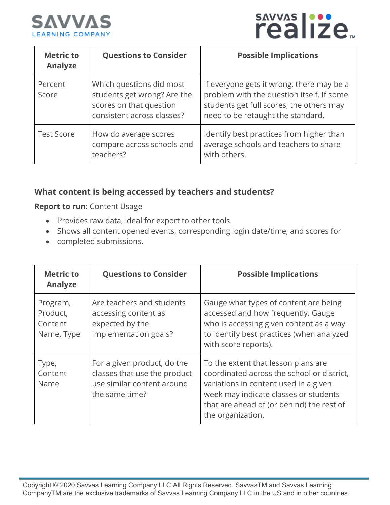



| <b>Metric to</b><br><b>Analyze</b> | <b>Questions to Consider</b>                                                                                     | <b>Possible Implications</b>                                                                                                                                            |
|------------------------------------|------------------------------------------------------------------------------------------------------------------|-------------------------------------------------------------------------------------------------------------------------------------------------------------------------|
| Percent<br>Score                   | Which questions did most<br>students get wrong? Are the<br>scores on that question<br>consistent across classes? | If everyone gets it wrong, there may be a<br>problem with the question itself. If some<br>students get full scores, the others may<br>need to be retaught the standard. |
| <b>Test Score</b>                  | How do average scores<br>compare across schools and<br>teachers?                                                 | Identify best practices from higher than<br>average schools and teachers to share<br>with others.                                                                       |

#### **What content is being accessed by teachers and students?**

**Report to run**: Content Usage

- Provides raw data, ideal for export to other tools.
- Shows all content opened events, corresponding login date/time, and scores for
- completed submissions.

| <b>Metric to</b><br><b>Analyze</b>            | <b>Questions to Consider</b>                                                                                | <b>Possible Implications</b>                                                                                                                                                                                                          |
|-----------------------------------------------|-------------------------------------------------------------------------------------------------------------|---------------------------------------------------------------------------------------------------------------------------------------------------------------------------------------------------------------------------------------|
| Program,<br>Product,<br>Content<br>Name, Type | Are teachers and students<br>accessing content as<br>expected by the<br>implementation goals?               | Gauge what types of content are being<br>accessed and how frequently. Gauge<br>who is accessing given content as a way<br>to identify best practices (when analyzed<br>with score reports).                                           |
| Type,<br>Content<br>Name                      | For a given product, do the<br>classes that use the product<br>use similar content around<br>the same time? | To the extent that lesson plans are<br>coordinated across the school or district,<br>variations in content used in a given<br>week may indicate classes or students<br>that are ahead of (or behind) the rest of<br>the organization. |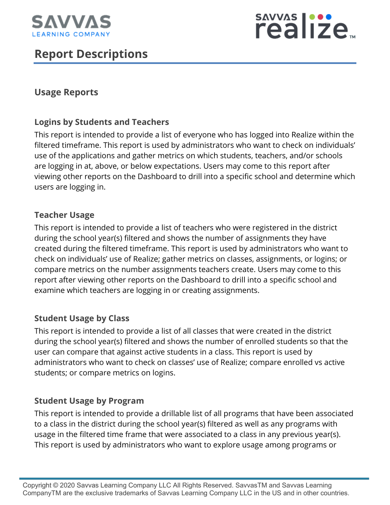

## **Report Descriptions**



#### **Usage Reports**

#### **Logins by Students and Teachers**

This report is intended to provide a list of everyone who has logged into Realize within the filtered timeframe. This report is used by administrators who want to check on individuals' use of the applications and gather metrics on which students, teachers, and/or schools are logging in at, above, or below expectations. Users may come to this report after viewing other reports on the Dashboard to drill into a specific school and determine which users are logging in.

#### **Teacher Usage**

This report is intended to provide a list of teachers who were registered in the district during the school year(s) filtered and shows the number of assignments they have created during the filtered timeframe. This report is used by administrators who want to check on individuals' use of Realize; gather metrics on classes, assignments, or logins; or compare metrics on the number assignments teachers create. Users may come to this report after viewing other reports on the Dashboard to drill into a specific school and examine which teachers are logging in or creating assignments.

#### **Student Usage by Class**

This report is intended to provide a list of all classes that were created in the district during the school year(s) filtered and shows the number of enrolled students so that the user can compare that against active students in a class. This report is used by administrators who want to check on classes' use of Realize; compare enrolled vs active students; or compare metrics on logins.

#### **Student Usage by Program**

This report is intended to provide a drillable list of all programs that have been associated to a class in the district during the school year(s) filtered as well as any programs with usage in the filtered time frame that were associated to a class in any previous year(s). This report is used by administrators who want to explore usage among programs or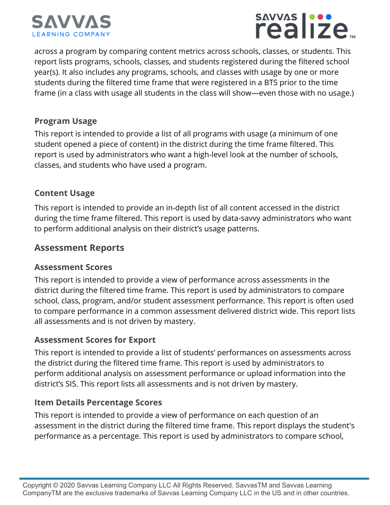



across a program by comparing content metrics across schools, classes, or students. This report lists programs, schools, classes, and students registered during the filtered school year(s). It also includes any programs, schools, and classes with usage by one or more students during the filtered time frame that were registered in a BTS prior to the time frame (in a class with usage all students in the class will show—even those with no usage.)

#### **Program Usage**

This report is intended to provide a list of all programs with usage (a minimum of one student opened a piece of content) in the district during the time frame filtered. This report is used by administrators who want a high-level look at the number of schools, classes, and students who have used a program.

#### **Content Usage**

This report is intended to provide an in-depth list of all content accessed in the district during the time frame filtered. This report is used by data-savvy administrators who want to perform additional analysis on their district's usage patterns.

#### **Assessment Reports**

#### **Assessment Scores**

This report is intended to provide a view of performance across assessments in the district during the filtered time frame. This report is used by administrators to compare school, class, program, and/or student assessment performance. This report is often used to compare performance in a common assessment delivered district wide. This report lists all assessments and is not driven by mastery.

#### **Assessment Scores for Export**

This report is intended to provide a list of students' performances on assessments across the district during the filtered time frame. This report is used by administrators to perform additional analysis on assessment performance or upload information into the district's SIS. This report lists all assessments and is not driven by mastery.

#### **Item Details Percentage Scores**

This report is intended to provide a view of performance on each question of an assessment in the district during the filtered time frame. This report displays the student's performance as a percentage. This report is used by administrators to compare school,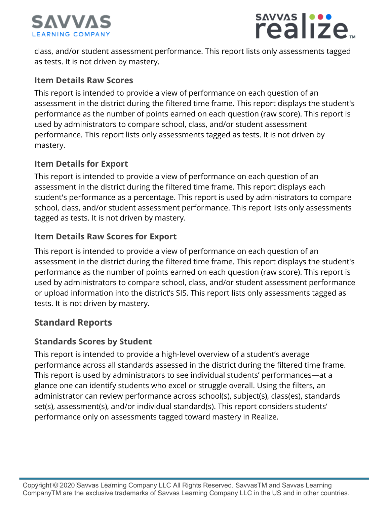



class, and/or student assessment performance. This report lists only assessments tagged as tests. It is not driven by mastery.

#### **Item Details Raw Scores**

This report is intended to provide a view of performance on each question of an assessment in the district during the filtered time frame. This report displays the student's performance as the number of points earned on each question (raw score). This report is used by administrators to compare school, class, and/or student assessment performance. This report lists only assessments tagged as tests. It is not driven by mastery.

#### **Item Details for Export**

This report is intended to provide a view of performance on each question of an assessment in the district during the filtered time frame. This report displays each student's performance as a percentage. This report is used by administrators to compare school, class, and/or student assessment performance. This report lists only assessments tagged as tests. It is not driven by mastery.

#### **Item Details Raw Scores for Export**

This report is intended to provide a view of performance on each question of an assessment in the district during the filtered time frame. This report displays the student's performance as the number of points earned on each question (raw score). This report is used by administrators to compare school, class, and/or student assessment performance or upload information into the district's SIS. This report lists only assessments tagged as tests. It is not driven by mastery.

#### **Standard Reports**

#### **Standards Scores by Student**

This report is intended to provide a high-level overview of a student's average performance across all standards assessed in the district during the filtered time frame. This report is used by administrators to see individual students' performances—at a glance one can identify students who excel or struggle overall. Using the filters, an administrator can review performance across school(s), subject(s), class(es), standards set(s), assessment(s), and/or individual standard(s). This report considers students' performance only on assessments tagged toward mastery in Realize.